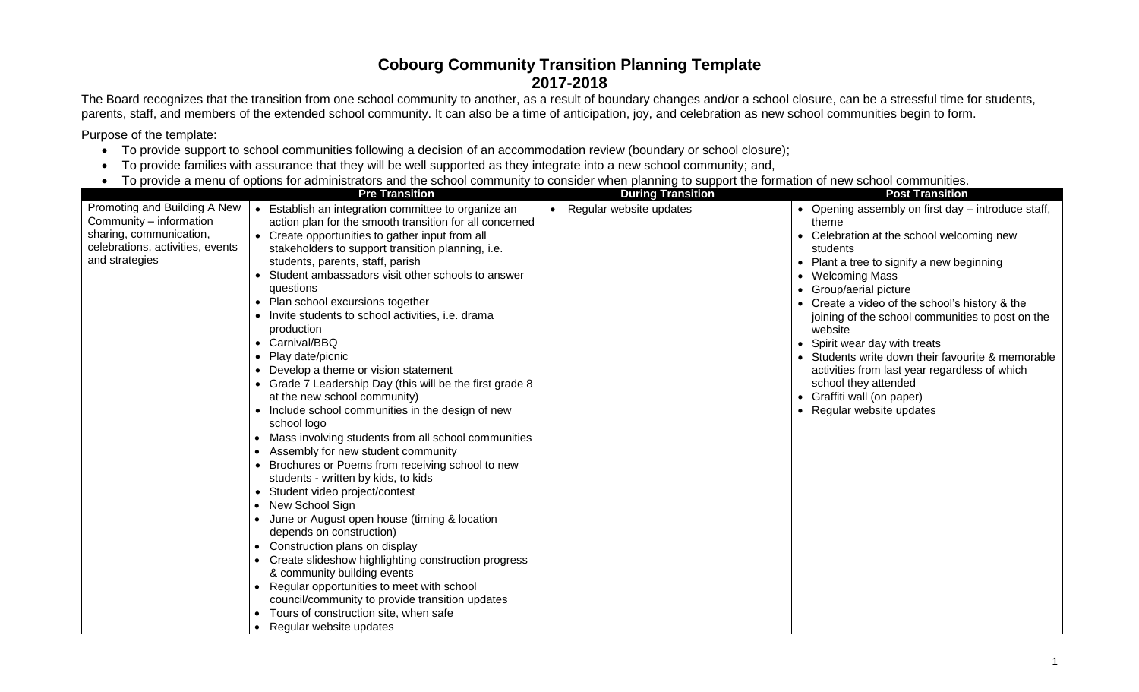## **Cobourg Community Transition Planning Template 2017-2018**

The Board recognizes that the transition from one school community to another, as a result of boundary changes and/or a school closure, can be a stressful time for students, parents, staff, and members of the extended school community. It can also be a time of anticipation, joy, and celebration as new school communities begin to form.

Purpose of the template:

- To provide support to school communities following a decision of an accommodation review (boundary or school closure);
- To provide families with assurance that they will be well supported as they integrate into a new school community; and,
- To provide a menu of options for administrators and the school community to consider when planning to support the formation of new school communities.

|                                  | <b>Pre Transition</b>                                            | <b>During Transition</b>  | <b>Post Transition</b>                               |
|----------------------------------|------------------------------------------------------------------|---------------------------|------------------------------------------------------|
| Promoting and Building A New     | • Establish an integration committee to organize an              | • Regular website updates | • Opening assembly on first day – introduce staff,   |
| Community - information          | action plan for the smooth transition for all concerned          |                           | theme                                                |
| sharing, communication,          | • Create opportunities to gather input from all                  |                           | Celebration at the school welcoming new              |
| celebrations, activities, events | stakeholders to support transition planning, i.e.                |                           | students                                             |
| and strategies                   | students, parents, staff, parish                                 |                           | Plant a tree to signify a new beginning<br>$\bullet$ |
|                                  | Student ambassadors visit other schools to answer                |                           | <b>Welcoming Mass</b><br>$\bullet$                   |
|                                  | questions                                                        |                           | Group/aerial picture                                 |
|                                  | Plan school excursions together                                  |                           | Create a video of the school's history & the         |
|                                  | • Invite students to school activities, i.e. drama               |                           | joining of the school communities to post on the     |
|                                  | production                                                       |                           | website                                              |
|                                  | • Carnival/BBQ                                                   |                           | Spirit wear day with treats                          |
|                                  | Play date/picnic                                                 |                           | Students write down their favourite & memorable      |
|                                  | Develop a theme or vision statement                              |                           | activities from last year regardless of which        |
|                                  | • Grade 7 Leadership Day (this will be the first grade 8         |                           | school they attended                                 |
|                                  | at the new school community)                                     |                           | Graffiti wall (on paper)                             |
|                                  | • Include school communities in the design of new                |                           | • Regular website updates                            |
|                                  | school logo                                                      |                           |                                                      |
|                                  | Mass involving students from all school communities<br>$\bullet$ |                           |                                                      |
|                                  | Assembly for new student community                               |                           |                                                      |
|                                  | Brochures or Poems from receiving school to new                  |                           |                                                      |
|                                  | students - written by kids, to kids                              |                           |                                                      |
|                                  | Student video project/contest<br>$\bullet$                       |                           |                                                      |
|                                  | New School Sign                                                  |                           |                                                      |
|                                  | June or August open house (timing & location                     |                           |                                                      |
|                                  | depends on construction)                                         |                           |                                                      |
|                                  | Construction plans on display                                    |                           |                                                      |
|                                  | Create slideshow highlighting construction progress              |                           |                                                      |
|                                  | & community building events                                      |                           |                                                      |
|                                  | Regular opportunities to meet with school                        |                           |                                                      |
|                                  | council/community to provide transition updates                  |                           |                                                      |
|                                  | Tours of construction site, when safe                            |                           |                                                      |
|                                  | Regular website updates                                          |                           |                                                      |